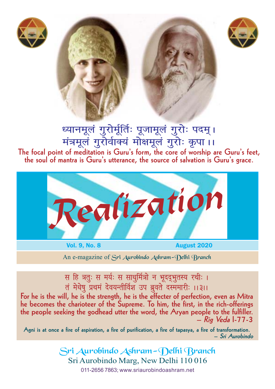





ध्यानमूलं गुरोर्मूर्तिः पूजामूलं गुरोः पदम् । मंत्रमूलं गुरोर्वाक्यं मोक्षमूलं गुरोः कृपा।। **The focal point of meditation is Guru's form, the core of worship are Guru's feet, the soul of mantra is Guru's utterance, the source of salvation is Guru's grace.**



An e-magazine of Sri Aurobindo Ashram-Delhi Branch

स हि त्रतुः स मर्यः स साधुर्मित्रो न भूदद्भुतस्य रथीः ।<br>तं मेधेषु प्रथमं देवयन्तीर्विश उप ब्रुवते दस्ममारीः ।।३।।

For he is the will, he is the strength, he is the effecter of perfection, even as Mitra **he becomes the charioteer of the Supreme. To him, the first, in the rich-offerings the people seeking the godhead utter the word, the Aryan people to the fulfiller. – Rig Veda I-77-3**

**Agni is at once a fire of aspiration, a fire of purification, a fire of tapasya, a fire of transformation. – Sri Aurobindo**

> Sri Aurobindo Ashram-Delhi Branch Sri Aurobindo Marg, New Delhi 110 016

011-2656 7863; www.sriaurobindoashram.net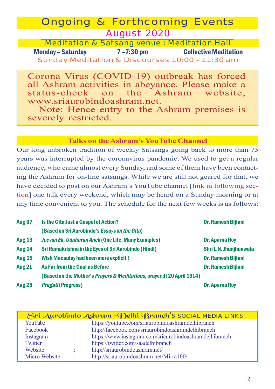# Ongoing & Forthcoming Events August 2020

Meditation & Satsang venue : Meditation Hall Monday – Saturday 7 –7:30 pm Collective Meditation Sunday Meditation & Discourses 10:00 – 11:30 am

Corona Virus (COVID-19) outbreak has forced all Ashram activities in abeyance. Please make a status-check on the Ashram website. status-check on the Ashram website, www.sriaurobindoashram.net.

Note: Hence entry to the Ashram premises is severely restricted.

### **Talks on the Ashram's YouTube Channel**

Our long unbroken tradition of weekly Satsangs going back to more than 75 years was interrupted by the coronavirus pandemic. We used to get a regular audience, who came almost every Sunday, and some of them have been contacting the Ashram for on-line satsangs. While we are still not geared for that, we have decided to post on our Ashram's YouTube channel [link in following section] one talk every weekend, which may be heard on a Sunday morning or at any time convenient to you. The schedule for the next few weeks is as follows:

| <b>Aug 07</b> | Is the Gita Just a Gospel of Action?                                               | <b>Dr. Ramesh Bijlani</b> |  |
|---------------|------------------------------------------------------------------------------------|---------------------------|--|
|               | (Based on Sri Aurobindo's Essays on the Gita)                                      |                           |  |
| <b>Aug 13</b> | Jeevan Ek, Udaharan Anek (One Life, Many Examples)                                 | <b>Dr. Aparna Roy</b>     |  |
| <b>Aug 14</b> | <b>Sri Ramakrishna in the Eyes of Sri Aurobindo (Hindi)</b>                        | Shri L.N. Jhunjhunwala    |  |
| <b>Aug 15</b> | <b>Wish Macaulay had been more explicit!</b>                                       | <b>Dr. Ramesh Bijlani</b> |  |
| <b>Aug 21</b> | As Far from the Goal as Before                                                     | <b>Dr. Ramesh Bijlani</b> |  |
|               | (Based on the Mother's <i>Prayers &amp; Meditations</i> , prayer dt 20 April 1914) |                           |  |
| <b>Aug 28</b> | <b>Pragati (Progress)</b>                                                          | <b>Dr. Aparna Roy</b>     |  |

| Sri Aurobindo Ashram-Delhi Branch's SOCIAL MEDIA LINKS |                |                                                         |  |  |
|--------------------------------------------------------|----------------|---------------------------------------------------------|--|--|
| YouTube                                                |                | https://youtube.com/sriaurobindoashramdelhibranch       |  |  |
| Facebook                                               |                | http://facebook.com/sriaurobindoashramdelhibranch       |  |  |
| Instagram                                              |                | https://www.instagram.com/sriaurobindoashramdelhibranch |  |  |
| Twitter                                                |                | https://twitter.com/saadelhibranch                      |  |  |
| Website                                                |                | http://sriaurobindoashram.net/                          |  |  |
| Micro Website                                          | $\mathbb{R}^2$ | http://sriaurobindoashram.net/Mirra100/                 |  |  |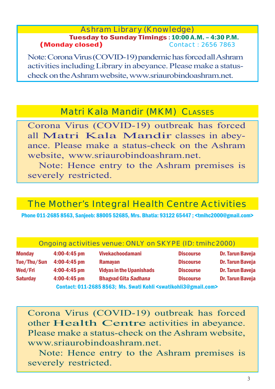### Ashram Library (Knowledge) Tuesday to Sunday Timings : 10:00 A.M. – 4:30 P.M. (Monday closed) *Contact :* 2656 7863

Note: Corona Virus (COVID-19) pandemic has forced all Ashram activities including Library in abeyance. Please make a statuscheck on the Ashram website, www.sriaurobindoashram.net.

# Matri Kala Mandir (MKM) CLASSES

Corona Virus (COVID-19) outbreak has forced all Matri Kala Mandir classes in abeyance. Please make a status-check on the Ashram website, www.sriaurobindoashram.net.

Note: Hence entry to the Ashram premises is severely restricted.

# The Mother's Integral Health Centre Activities

Phone 011-2685 8563, Sanjeeb: 88005 52685, Mrs. Bhatia: 93122 65447 ; <tmihc2000@gmail.com>

## Ongoing activities venue: ONLY on SKYPE (ID: tmihc2000) Monday 4:00-4:45 pm Vivekachoodamani Discourse Dr. Tarun Baveja Tue/Thu/Sun 4:00-4:45 pm Ramayan Discourse Dr. Tarun Baveja Wed/Fri 4:00-4:45 pm Vidyas in the Upanishads Discourse Dr. Tarun Baveja Saturday 4:00-4:45 pm Bhagvad Gita Sadhana Discourse Dr. Tarun Baveja

Contact: 011-2685 8563; Ms. Swati Kohli <swatikohli3@gmail.com>

Corona Virus (COVID-19) outbreak has forced other Health Centre activities in abeyance. Please make a status-check on the Ashram website, www.sriaurobindoashram.net.

Note: Hence entry to the Ashram premises is severely restricted.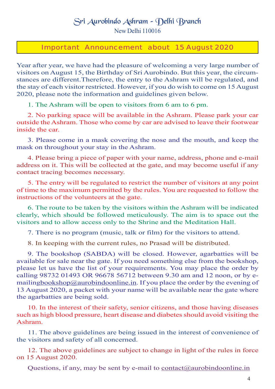### Sri Aurobindo Ashram – Delhi Branch

New Delhi 110016

#### Important Announcement about 15 August 2020

Year after year, we have had the pleasure of welcoming a very large number of visitors on August 15, the Birthday of Sri Aurobindo. But this year, the circumstances are different.Therefore, the entry to the Ashram will be regulated, and the stay of each visitor restricted. However, if you do wish to come on 15 August 2020, please note the information and guidelines given below.

1. The Ashram will be open to visitors from 6 am to 6 pm.

2. No parking space will be available in the Ashram. Please park your car outside the Ashram. Those who come by car are advised to leave their footwear inside the car.

3. Please come in a mask covering the nose and the mouth, and keep the mask on throughout your stay in the Ashram.

4. Please bring a piece of paper with your name, address, phone and e-mail address on it. This will be collected at the gate, and may become useful if any contact tracing becomes necessary.

5. The entry will be regulated to restrict the number of visitors at any point of time to the maximum permitted by the rules. You are requested to follow the instructions of the volunteers at the gate.

6. The route to be taken by the visitors within the Ashram will be indicated clearly, which should be followed meticulously. The aim is to space out the visitors and to allow access only to the Shrine and the Meditation Hall.

7. There is no program (music, talk or film) for the visitors to attend.

8. In keeping with the current rules, no Prasad will be distributed.

9. The bookshop (SABDA) will be closed. However, agarbatties will be available for sale near the gate. If you need something else from the bookshop, please let us have the list of your requirements. You may place the order by calling 98732 01493 OR 96678 56712 between 9.30 am and 12 noon, or by emailingbookshop@aurobindoonline.in. If you place the order by the evening of 13 August 2020, a packet with your name will be available near the gate where the agarbatties are being sold.

10. In the interest of their safety, senior citizens, and those having diseases such as high blood pressure, heart disease and diabetes should avoid visiting the Ashram.

11. The above guidelines are being issued in the interest of convenience of the visitors and safety of all concerned.

12. The above guidelines are subject to change in light of the rules in force on 15 August 2020.

Questions, if any, may be sent by e-mail to contact@aurobindoonline.in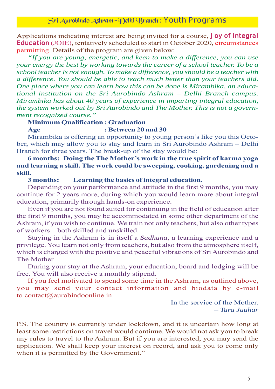Applications indicating interest are being invited for a course, **Joy of Integral** Education (JOIE), tentatively scheduled to start in October 2020, circumstances permitting. Details of the program are given below:

*"If you are young, energetic, and keen to make a difference, you can use your energy the best by working towards the career of a school teacher. To be a school teacher is not enough. To make a difference, you should be a teacher with a difference. You should be able to teach much better than your teachers did. One place where you can learn how this can be done is Mirambika, an educational institution on the Sri Aurobindo Ashram – Delhi Branch campus. Mirambika has about 40 years of experience in imparting integral education, the system worked out by Sri Aurobindo and The Mother. This is not a government recognized course."*

#### **Minimum Qualification : Graduation**

#### **Age : Between 20 and 30**

Mirambika is offering an opportunity to young person's like you this October, which may allow you to stay and learn in Sri Aurobindo Ashram – Delhi Branch for three years. The break-up of the stay would be:

**6 months: Doing the The Mother's work in the true spirit of karma yoga and learning a skill. The work could be sweeping, cooking, gardening and a skill.**

#### **3 months: Learning the basics of integral education.**

Depending on your performance and attitude in the first 9 months, you may continue for 2 years more, during which you would learn more about integral education, primarily through hands-on experience.

Even if you are not found suited for continuing in the field of education after the first 9 months, you may be accommodated in some other department of the Ashram, if you wish to continue. We train not only teachers, but also other types of workers – both skilled and unskilled.

Staying in the Ashram is in itself a *Sadhana*, a learning experience and a privilege. You learn not only from teachers, but also from the atmosphere itself, which is charged with the positive and peaceful vibrations of Sri Aurobindo and The Mother.

During your stay at the Ashram, your education, board and lodging will be free. You will also receive a monthly stipend.

If you feel motivated to spend some time in the Ashram, as outlined above, you may send your contact information and biodata by e-mail to contact@aurobindoonline.in

> In the service of the Mother, – *Tara Jauhar*

P.S. The country is currently under lockdown, and it is uncertain how long at least some restrictions on travel would continue. We would not ask you to break any rules to travel to the Ashram. But if you are interested, you may send the application. We shall keep your interest on record, and ask you to come only when it is permitted by the Government."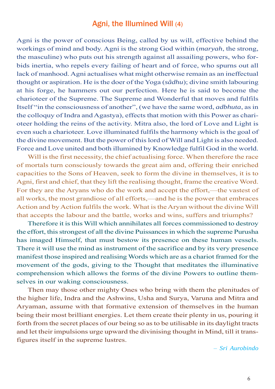### Agni, the Illumined Will (4)

Agni is the power of conscious Being, called by us will, effective behind the workings of mind and body. Agni is the strong God within (*maryah*, the strong, the masculine) who puts out his strength against all assailing powers, who forbids inertia, who repels every failing of heart and of force, who spurns out all lack of manhood. Agni actualises what might otherwise remain as an ineffectual thought or aspiration. He is the doer of the Yoga (*sâdhu*); divine smith labouring at his forge, he hammers out our perfection. Here he is said to become the charioteer of the Supreme. The Supreme and Wonderful that moves and fulfils Itself "in the consciousness of another", (we have the same word, *adbhuta*, as in the colloquy of Indra and Agastya), effects that motion with this Power as charioteer holding the reins of the activity. Mitra also, the lord of Love and Light is even such a charioteer. Love illuminated fulfils the harmony which is the goal of the divine movement. But the power of this lord of Will and Light is also needed. Force and Love united and both illumined by Knowledge fulfil God in the world.

Will is the first necessity, the chief actualising force. When therefore the race of mortals turn consciously towards the great aim and, offering their enriched capacities to the Sons of Heaven, seek to form the divine in themselves, it is to Agni, first and chief, that they lift the realising thought, frame the creative Word. For they are the Aryans who do the work and accept the effort,—the vastest of all works, the most grandiose of all efforts,—and he is the power that embraces Action and by Action fulfils the work. What is the Aryan without the divine Will that accepts the labour and the battle, works and wins, suffers and triumphs?

Therefore it is this Will which annihilates all forces commissioned to destroy the effort, this strongest of all the divine Puissances in which the supreme Purusha has imaged Himself, that must bestow its presence on these human vessels. There it will use the mind as instrument of the sacrifice and by its very presence manifest those inspired and realising Words which are as a chariot framed for the movement of the gods, giving to the Thought that meditates the illuminative comprehension which allows the forms of the divine Powers to outline themselves in our waking consciousness.

Then may those other mighty Ones who bring with them the plenitudes of the higher life, Indra and the Ashwins, Usha and Surya, Varuna and Mitra and Aryaman, assume with that formative extension of themselves in the human being their most brilliant energies. Let them create their plenty in us, pouring it forth from the secret places of our being so as to be utilisable in its daylight tracts and let their impulsions urge upward the divinising thought in Mind, till it transfigures itself in the supreme lustres.

– *Sri Aurobindo*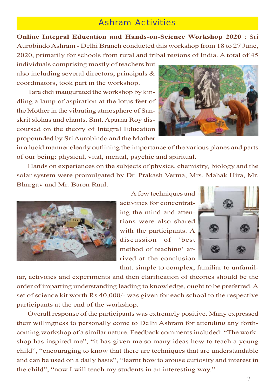### Ashram Activities

**Online Integral Education and Hands-on-Science Workshop 2020** : Sri Aurobindo Ashram - Delhi Branch conducted this workshop from 18 to 27 June, 2020, primarily for schools from rural and tribal regions of India. A total of 45

individuals comprising mostly of teachers but also including several directors, principals & coordinators, took part in the workshop.

Tara didi inaugurated the workshop by kindling a lamp of aspiration at the lotus feet of the Mother in the vibrating atmosphere of Sanskrit slokas and chants. Smt. Aparna Roy discoursed on the theory of Integral Education propounded by Sri Aurobindo and the Mother



in a lucid manner clearly outlining the importance of the various planes and parts of our being: physical, vital, mental, psychic and spiritual.

Hands on experiences on the subjects of physics, chemistry, biology and the solar system were promulgated by Dr. Prakash Verma, Mrs. Mahak Hira, Mr. Bhargav and Mr. Baren Raul.



A few techniques and activities for concentrating the mind and attentions were also shared with the participants. A discussion of 'best method of teaching' arrived at the conclusion



that, simple to complex, familiar to unfamiliar, activities and experiments and then clarification of theories should be the order of imparting understanding leading to knowledge, ought to be preferred. A set of science kit worth Rs 40,000/- was given for each school to the respective participants at the end of the workshop.

Overall response of the participants was extremely positive. Many expressed their willingness to personally come to Delhi Ashram for attending any forthcoming workshop of a similar nature. Feedback comments included: "The workshop has inspired me", "it has given me so many ideas how to teach a young child", "encouraging to know that there are techniques that are understandable and can be used on a daily basis", "learnt how to arouse curiosity and interest in the child", "now I will teach my students in an interesting way."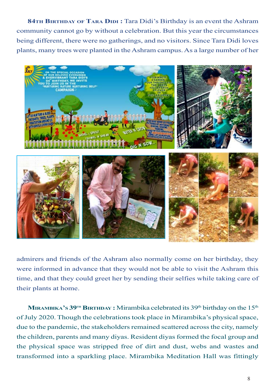**84TH BIRTHDAY OF TARA DIDI :** Tara Didi's Birthday is an event the Ashram community cannot go by without a celebration. But this year the circumstances being different, there were no gatherings, and no visitors. Since Tara Didi loves plants, many trees were planted in the Ashram campus. As a large number of her



admirers and friends of the Ashram also normally come on her birthday, they were informed in advance that they would not be able to visit the Ashram this time, and that they could greet her by sending their selfies while taking care of their plants at home.

**MIRAMBIKA's 39<sup>TH</sup> BIRTHDAY : Mirambika celebrated its 39<sup>th</sup> birthday on the 15<sup>th</sup>** of July 2020. Though the celebrations took place in Mirambika's physical space, due to the pandemic, the stakeholders remained scattered across the city, namely the children, parents and many diyas. Resident diyas formed the focal group and the physical space was stripped free of dirt and dust, webs and wastes and transformed into a sparkling place. Mirambika Meditation Hall was fittingly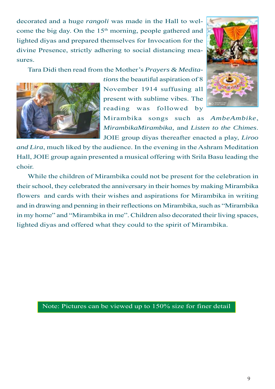decorated and a huge *rangoli* was made in the Hall to welcome the big day. On the 15<sup>th</sup> morning, people gathered and lighted diyas and prepared themselves for Invocation for the divine Presence, strictly adhering to social distancing measures.

Tara Didi then read from the Mother's *Prayers & Medita-*



*tions* the beautiful aspiration of 8 November 1914 suffusing all present with sublime vibes. The reading was followed by



Mirambika songs such as *AmbeAmbike*, *MirambikaMirambika*, and *Listen to the Chimes*. JOIE group diyas thereafter enacted a play, *Liroo*

*and Lira*, much liked by the audience. In the evening in the Ashram Meditation Hall, JOIE group again presented a musical offering with Srila Basu leading the choir.

While the children of Mirambika could not be present for the celebration in their school, they celebrated the anniversary in their homes by making Mirambika flowers and cards with their wishes and aspirations for Mirambika in writing and in drawing and penning in their reflections on Mirambika, such as "Mirambika in my home" and "Mirambika in me". Children also decorated their living spaces, lighted diyas and offered what they could to the spirit of Mirambika.

Note: Pictures can be viewed up to 150% size for finer detail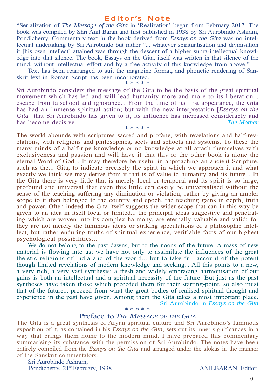#### Editor's Note

"Serialization of *The Message of the Gita* in 'Realization' began from February 2017. The book was compiled by Shri Anil Baran and first published in 1938 by Sri Aurobindo Ashram, Pondicherry. Commentary text in the book derived from *Essays on the Gita* was no intellectual undertaking by Sri Aurobindo but rather "... whatever spiritualisation and divinisation it [his own intellect] attained was through the descent of a higher supra-intellectual knowledge into that silence. The book, Essays on the Gita, itself was written in that silence of the mind, without intellectual effort and by a free activity of this knowledge from above."

Text has been rearranged to suit the magazine format, and phonetic rendering of Sanskrit text in Roman Script has been incorporated.  $*^* * * * * *$ 

Sri Aurobindo considers the message of the Gita to be the basis of the great spiritual movement which has led and will lead humanity more and more to its liberation... escape from falsehood and ignorance... From the time of its first appearance, the Gita has had an immense spiritual action; but with the new interpretation [*Essays on the Gita*] that Sri Aurobindo has given to it, its influence has increased considerably and has become decisive. **Figure 1**  $\blacksquare$  *The Mother* \* \* \* \* \*

The world abounds with scriptures sacred and profane, with revelations and half-revelations, with religions and philosophies, sects and schools and systems. To these the many minds of a half-ripe knowledge or no knowledge at all attach themselves with exclusiveness and passion and will have it that this or the other book is alone the eternal Word of God... It may therefore be useful in approaching an ancient Scripture, such as the... Gita, to indicate precisely the spirit in which we approach it and what exactly we think we may derive from it that is of value to humanity and its future... In the Gita there is very little that is merely local or temporal and its spirit is so large, profound and universal that even this little can easily be universalised without the sense of the teaching suffering any diminution or violation; rather by giving an ampler scope to it than belonged to the country and epoch, the teaching gains in depth, truth and power. Often indeed the Gita itself suggests the wider scope that can in this way be given to an idea in itself local or limited... the principal ideas suggestive and penetrating which are woven into its complex harmony, are eternally valuable and valid; for they are not merely the luminous ideas or striking speculations of a philosophic intellect, but rather enduring truths of spiritual experience, verifiable facts of our highest psychological possibilities...

We do not belong to the past dawns, but to the noons of the future. A mass of new material is flowing into us; we have not only to assimilate the influences of the great theistic religions of India and of the world... but to take full account of the potent though limited revelations of modern knowledge and seeking... All this points to a new, a very rich, a very vast synthesis; a fresh and widely embracing harmonisation of our gains is both an intellectual and a spiritual necessity of the future. But just as the past syntheses have taken those which preceded them for their starting-point, so also must that of the future... proceed from what the great bodies of realised spiritual thought and experience in the past have given. Among them the Gita takes a most important place. – Sri Aurobindo in *Essays on the Gita*

\* \* \* \* \*

### Preface to *THE MESSAGE OF THE GITA*

The Gita is a great synthesis of Aryan spiritual culture and Sri Aurobindo's luminous exposition of it, as contained in his *Essays on the Gita*, sets out its inner significances in a way that brings them home to the modern mind. I have prepared this commentary summarising its substance with the permission of Sri Aurobindo. The notes have been entirely compiled from the *Essays on the Gita* and arranged under the slokas in the manner of the Sanskrit commentators.

 Sri Aurobindo Ashram, Pondicherry, 21<sup>st</sup> February, 1938 – ANILBARAN, Editor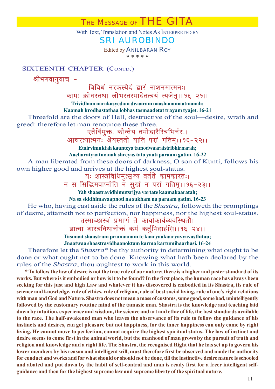# THE MESSAGE OF THE GI

With Text, Translation and Notes As INTERPRETED BY

SRI AUROBINDO

Edited by ANILBARAN ROY

\* \* \* \* \*

#### SIXTEENTH CHAPTER (CONTD.)

श्रीभगवानुवाच -

त्रिविधं नरकस्येदं द्वारं नाशनमात्मनः।

कामः क्रोधस्तथा लोभस्तस्मादेतत्त्रयं त्यजेतू।। १६-२१।।

**Trividham narakasyedam dwaaram naashanamaatmanah;**

**Kaamah krodhastathaa lobhas tasmaadetat trayam tyajet. 16-21**

Threefold are the doors of Hell, destructive of the soul—desire, wrath and greed: therefore let man renounce these three.

एतैर्विमुक्तः कौन्तेय तमोद्वारैस्त्रिभिर्नरः।

आचरत्यात्मनः श्रेयस्ततो याति परां गतिम्।। १६-२२।।

**Etairvimuktah kaunteya tamodwaaraistribhirnarah;**

**Aacharatyaatmanah shreyas tato yaati paraam gatim. 16-22**

A man liberated from these doors of darkness, O son of Kunti, follows his own higher good and arrives at the highest soul-status.

यः शास्त्रविधिमुत्सृज्य वर्तते कामकारतः।

न स सिद्धिमवाप्नोति न सुखं न परां गतिम्।। १६-२३।।

**Yah shaastravidhimutsrijya vartate kaamakaaratah;**

**Na sa siddhimavaapnoti na sukham na paraam gatim. 16-23**

He who, having cast aside the rules of the *Shastra*, followeth the promptings of desire, attaineth not to perfection, nor happiness, nor the highest soul-status.

तस्माच्छास्त्रं प्रमाणं ते कार्याकार्यव्यवस्थितौ।

ज्ञात्वा शास्त्रविधानोक्तं कर्म कर्तुमिहार्हसि।। १६-२४।।

**Tasmaat shaastram pramaanam te kaaryaakaaryavyavasthitau;**

**Jnaatwaa shaastravidhaanoktam karma kartumihaarhasi. 16-24**

Therefore let the *Shastra*\* be thy authority in determining what ought to be done or what ought not to be done. Knowing what hath been declared by the rules of the *Shastra*, thou oughtest to work in this world.

**\* To follow the law of desire is not the true rule of our nature; there is a higher and juster standard of its works. But where is it embodied or how is it to be found? In the first place, the human race has always been seeking for this just and high Law and whatever it has discovered is embodied in its Shastra, its rule of science and knowledge, rule of ethics, rule of religion, rule of best social living, rule of one's right relations with man and God and Nature. Shastra does not mean a mass of customs, some good, some bad, unintelligently followed by the customary routine mind of the tamasic man. Shastra is the knowledge and teaching laid down by intuition, experience and wisdom, the science and art and ethic of life, the best standards available to the race. The half-awakened man who leaves the observance of its rule to follow the guidance of his instincts and desires, can get pleasure but not happiness, for the inner happiness can only come by right living. He cannot move to perfection, cannot acquire the highest spiritual status. The law of instinct and desire seems to come first in the animal world, but the manhood of man grows by the pursuit of truth and religion and knowledge and a right life. The Shastra, the recognised Right that he has set up to govern his lower members by his reason and intelligent will, must therefore first be observed and made the authority for conduct and works and for what should or should not be done, till the instinctive desire nature is schooled and abated and put down by the habit of self-control and man is ready first for a freer intelligent selfguidance and then for the highest supreme law and supreme liberty of the spiritual nature.**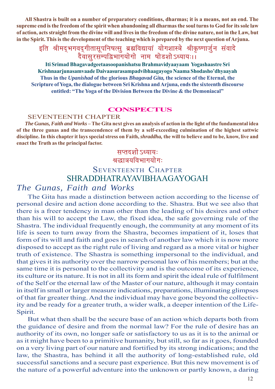**All Shastra is built on a number of preparatory conditions, dharmas; it is a means, not an end. The supreme end is the freedom of the spirit when abandoning all dharmas the soul turns to God for its sole law of action, acts straight from the divine will and lives in the freedom of the divine nature, not in the Law, but in the Spirit. This is the development of the teaching which is prepared by the next question of Arjuna.**

# इति श्रीमद्भगवद्गीतासूपनिषत्सु ब्रह्मविद्यायां योगशास्त्रे श्रीकृष्णार्जुन संवादे<br>दैवासुरसम्पद्विभागयोगो नाम षोडशोऽध्यायः।।

**Iti Srimad Bhagavadgeetaasoopanishatsu Brahmavidyaayaam Yogashaastre Sri Krishnaarjunasamvaade Daivaasurasampadvibhaagayogo Naama Shodasho'dhyaayah Thus in the** *Upanishad* **of the glorious** *Bhagavad Gita,* **the science of the Eternal, the Scripture of Yoga, the dialogue between Sri Krishna and Arjuna, ends the sixteenth discourse entitled: "The Yoga of the Division Between the Divine & the Demoniacal"**

#### **CONSPECTUS**

#### SEVENTEENTH CHAPTER

*The Gunas, Faith and Works* **– The Gita next gives an analysis of action in the light of the fundamental idea of the three gunas and the transcendence of them by a self-exceeding culmination of the highest sattwic discipline. In this chapter it lays special stress on Faith,** *shraddha,* **the will to believe and to be, know, live and enact the Truth as the principal factor.**

### सप्तदशो ऽध्यायः श्रद्धात्रयविभागयोग: SEVENTEENTH CHAPTER SHRADDHATRAYAVIBHAAGAYOGAH

### *The Gunas, Faith and Works*

The Gita has made a distinction between action according to the license of personal desire and action done according to the. Shastra. But we see also that there is a freer tendency in man other than the leading of his desires and other than his will to accept the Law, the fixed idea, the safe governing rule of the Shastra. The individual frequently enough, the community at any moment of its life is seen to turn away from the Shastra, becomes impatient of it, loses that form of its will and faith and goes in search of another law which it is now more disposed to accept as the right rule of living and regard as a more vital or higher truth of existence. The Shastra is something impersonal to the individual, and that gives it its authority over the narrow personal law of his members; but at the same time it is personal to the collectivity and is the outcome of its experience, its culture or its nature. It is not in all its form and spirit the ideal rule of fulfilment of the Self or the eternal law of the Master of our nature, although it may contain in itself in small or larger measure indications, preparations, illuminating glimpses of that far greater thing. And the individual may have gone beyond the collectivity and be ready for a greater truth, a wider walk, a deeper intention of the Life-Spirit.

But what then shall be the secure base of an action which departs both from the guidance of desire and from the normal law? For the rule of desire has an authority of its own, no longer safe or satisfactory to us as it is to the animal or as it might have been to a primitive humanity, but still, so far as it goes, founded on a very living part of our nature and fortified by its strong indications; and the law, the Shastra, has behind it all the authority of long-established rule, old successful sanctions and a secure past experience. But this new movement is of the nature of a powerful adventure into the unknown or partly known, a daring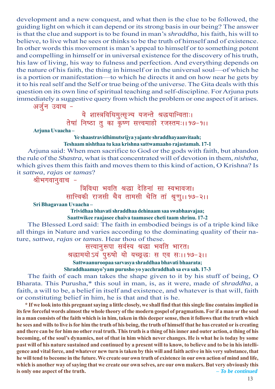development and a new conquest, and what then is the clue to be followed, the guiding light on which it can depend or its strong basis in our being? The answer is that the clue and support is to be found in man's *shraddha,* his faith, his will to believe, to live what he sees or thinks to be the truth of himself and of existence. In other words this movement is man's appeal to himself or to something potent and compelling in himself or in universal existence for the discovery of his truth, his law of living, his way to fulness and perfection. And everything depends on the nature of his faith, the thing in himself or in the universal soul—of which he is a portion or manifestation—to which he directs it and on how near he gets by it to his real self and the Self or true being of the universe. The Gita deals with this question on its own line of spiritual teaching and self-discipline. For Arjuna puts immediately a suggestive query from which the problem or one aspect of it arises.

अर्जन उवाच -

### ये शास्त्रविधिमुत्सृज्य यजन्ते श्र<mark>द्धयान्विताः।</mark> तेषां निष्ठा तु का कृष्ण सत्त्वमाहो रजस्तमः।।१७-१।।

**Arjuna Uvaacha –**

#### **Ye shaastravidhimutsrijya yajante shraddhayaanvitaah; Teshaam nishthaa tu kaa krishna sattwamaaho rajastamah. 17-1**

Arjuna said: When men sacrifice to God or the gods with faith, but abandon the rule of the *Shastra*, what is that concentrated will of devotion in them, *nishtha,* which gives them this faith and moves them to this kind of action, O Krishna? Is it *sattwa*, *rajas* or *tamas*?

श्रीभगवानुवाच -

## त्रिविधा भवति श्रद्धा देहिनां सा स्वभावजा। सात्त्विकी राजसी चैव तामसी चेति तां श्रृणु।। १७-२।।

**Sri Bhagavaan Uvaacha –**

### **Trividhaa bhavati shraddhaa dehinaam saa swabhaavajaa;**

**Saattwikee raajasee chaiva taamasee cheti taam shrinu. 17-2**

The Blessed Lord said: The faith in embodied beings is of a triple kind like all things in Nature and varies according to the dominating quality of their nature, *sattwa*, *rajas* or *tamas*. Hear thou of these.

सत्त्वानुरूपा सर्वस्य श्रद्धा भवति भारत। श्रद्धामयोऽयं पुरुषो यो यच्छूद्धः स एव सः।। १७-३।। **Sattwaanuroopaa sarvasya shraddhaa bhavati bhaarata;**

#### **Shraddhaamayo'yam purusho yo yacchraddhah sa eva sah. 17-3**

The faith of each man takes the shape given to it by his stuff of being, O Bharata. This Purusha,\* this soul in man, is, as it were, made of *shraddha*, a faith, a will to be, a belief in itself and existence, and whatever is that will, faith or constituting belief in him, he is that and that is he.

**\* If we look into this pregnant saying a little closely, we shall find that this single line contains implied in its few forceful words almost the whole theory of the modern gospel of pragmatism. For if a man or the soul in a man consists of the faith which is in him, taken in this deeper sense, then it follows that the truth which he sees and wills to live is for him the truth of his being, the truth of himself that he has created or is creating and there can be for him no other real truth. This truth is a thing of his inner and outer action, a thing of his becoming, of the soul's dynamics, not of that in him which never changes. He is what he is today by some past will of his nature sustained and continued by a present will to know, to believe and to be in his intelligence and vital force, and whatever new turn is taken by this will and faith active in his very substance, that he will tend to become in the future. We create our own truth of existence in our own action of mind and life, which is another way of saying that we create our own selves, are our own makers. But very obviously this is only one aspect of the truth. –** *To be continued*